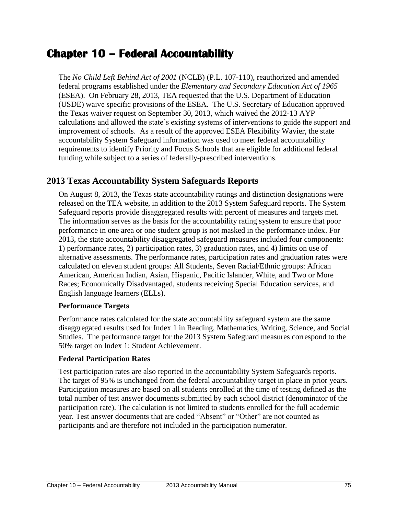# **Chapter 10 – Federal Accountability**

The *No Child Left Behind Act of 2001* (NCLB) (P.L. 107-110), reauthorized and amended federal programs established under the *Elementary and Secondary Education Act of 1965* (ESEA). On February 28, 2013, TEA requested that the U.S. Department of Education (USDE) waive specific provisions of the ESEA. The U.S. Secretary of Education approved the Texas waiver request on September 30, 2013, which waived the 2012-13 AYP calculations and allowed the state's existing systems of interventions to guide the support and improvement of schools. As a result of the approved ESEA Flexibility Wavier, the state accountability System Safeguard information was used to meet federal accountability requirements to identify Priority and Focus Schools that are eligible for additional federal funding while subject to a series of federally-prescribed interventions.

## **2013 Texas Accountability System Safeguards Reports**

On August 8, 2013, the Texas state accountability ratings and distinction designations were released on the TEA website, in addition to the 2013 System Safeguard reports. The System Safeguard reports provide disaggregated results with percent of measures and targets met. The information serves as the basis for the accountability rating system to ensure that poor performance in one area or one student group is not masked in the performance index. For 2013, the state accountability disaggregated safeguard measures included four components: 1) performance rates, 2) participation rates, 3) graduation rates, and 4) limits on use of alternative assessments. The performance rates, participation rates and graduation rates were calculated on eleven student groups: All Students, Seven Racial/Ethnic groups: African American, American Indian, Asian, Hispanic, Pacific Islander, White, and Two or More Races; Economically Disadvantaged, students receiving Special Education services, and English language learners (ELLs).

#### **Performance Targets**

Performance rates calculated for the state accountability safeguard system are the same disaggregated results used for Index 1 in Reading, Mathematics, Writing, Science, and Social Studies. The performance target for the 2013 System Safeguard measures correspond to the 50% target on Index 1: Student Achievement.

#### **Federal Participation Rates**

Test participation rates are also reported in the accountability System Safeguards reports. The target of 95% is unchanged from the federal accountability target in place in prior years. Participation measures are based on all students enrolled at the time of testing defined as the total number of test answer documents submitted by each school district (denominator of the participation rate). The calculation is not limited to students enrolled for the full academic year. Test answer documents that are coded "Absent" or "Other" are not counted as participants and are therefore not included in the participation numerator.